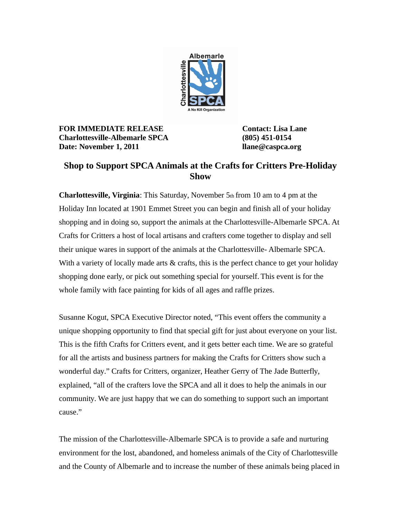

**FOR IMMEDIATE RELEASE Contact: Lisa Lane Charlottesville-Albemarle SPCA (805) 451-0154 Date: November 1, 2011 llane@caspca.org**

## **Shop to Support SPCA Animals at the Crafts for Critters Pre-Holiday Show**

**Charlottesville, Virginia**: This Saturday, November 5th from 10 am to 4 pm at the Holiday Inn located at 1901 Emmet Street you can begin and finish all of your holiday shopping and in doing so, support the animals at the Charlottesville-Albemarle SPCA. At Crafts for Critters a host of local artisans and crafters come together to display and sell their unique wares in support of the animals at the Charlottesville- Albemarle SPCA. With a variety of locally made arts & crafts, this is the perfect chance to get your holiday shopping done early, or pick out something special for yourself. This event is for the whole family with face painting for kids of all ages and raffle prizes.

Susanne Kogut, SPCA Executive Director noted, "This event offers the community a unique shopping opportunity to find that special gift for just about everyone on your list. This is the fifth Crafts for Critters event, and it gets better each time. We are so grateful for all the artists and business partners for making the Crafts for Critters show such a wonderful day." Crafts for Critters, organizer, Heather Gerry of The Jade Butterfly, explained, "all of the crafters love the SPCA and all it does to help the animals in our community. We are just happy that we can do something to support such an important cause."

The mission of the Charlottesville-Albemarle SPCA is to provide a safe and nurturing environment for the lost, abandoned, and homeless animals of the City of Charlottesville and the County of Albemarle and to increase the number of these animals being placed in